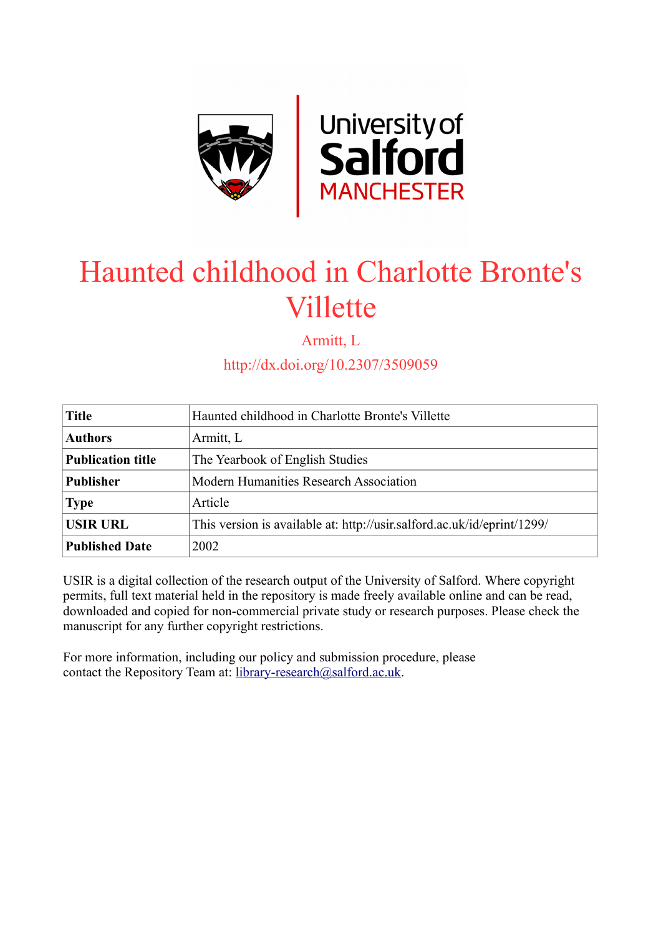

# Haunted childhood in Charlotte Bronte's Villette

Armitt, L

http://dx.doi.org/10.2307/3509059

| <b>Title</b>             | Haunted childhood in Charlotte Bronte's Villette                        |
|--------------------------|-------------------------------------------------------------------------|
| <b>Authors</b>           | Armitt, L                                                               |
| <b>Publication title</b> | The Yearbook of English Studies                                         |
| <b>Publisher</b>         | Modern Humanities Research Association                                  |
| <b>Type</b>              | Article                                                                 |
| <b>USIR URL</b>          | This version is available at: http://usir.salford.ac.uk/id/eprint/1299/ |
| <b>Published Date</b>    | 2002                                                                    |

USIR is a digital collection of the research output of the University of Salford. Where copyright permits, full text material held in the repository is made freely available online and can be read, downloaded and copied for non-commercial private study or research purposes. Please check the manuscript for any further copyright restrictions.

For more information, including our policy and submission procedure, please contact the Repository Team at: [library-research@salford.ac.uk.](mailto:library-research@salford.ac.uk)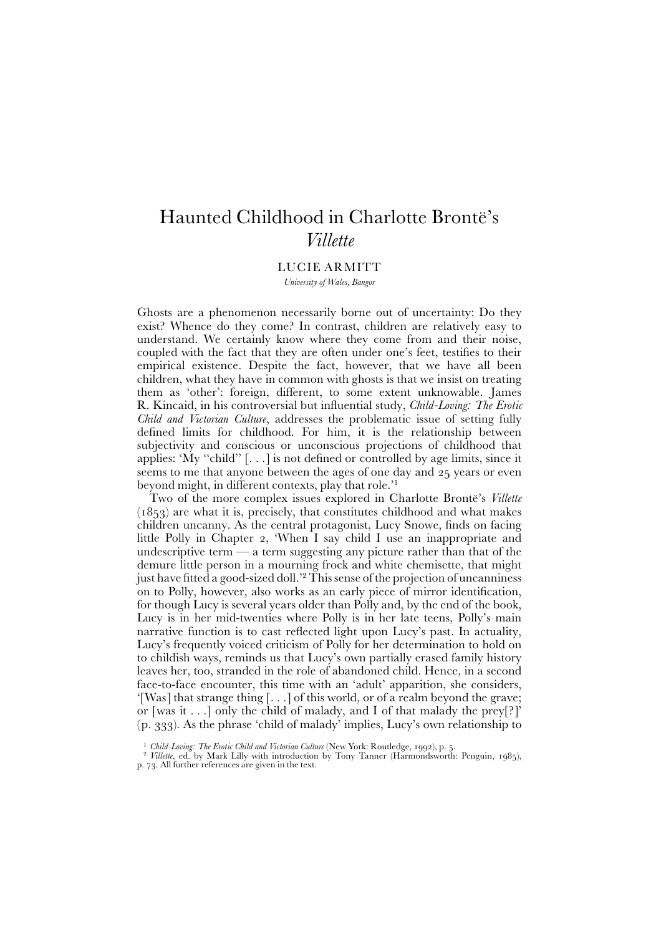## Haunted Childhood in Charlotte Brontë's Villette

### LUCIE ARMITT

University of Wales, Bangor

Ghosts are a phenomenon necessarily borne out of uncertainty: Do they exist? Whence do they come? In contrast, children are relatively easy to understand. We certainly know where they come from and their noise, coupled with the fact that they are often under one's feet, testifies to their empirical existence. Despite the fact, however, that we have all been children, what they have in common with ghosts is that we insist on treating them as 'other': foreign, different, to some extent unknowable. James R. Kincaid, in his controversial but influential study, Child-Loving: The Erotic Child and Victorian Culture, addresses the problematic issue of setting fully defined limits for childhood. For him, it is the relationship between subjectivity and conscious or unconscious projections of childhood that applies: 'My ''child'' [. . .] is not defined or controlled by age limits, since it seems to me that anyone between the ages of one day and 25 years or even beyond might, in different contexts, play that role.'<sup>1</sup><br>Two of the more complex issues explored in Charlotte Bronte<sup>'</sup>s Villette

(1853) are what it is, precisely, that constitutes childhood and what makes children uncanny. As the central protagonist, Lucy Snowe, finds on facing little Polly in Chapter 2, 'When I say child I use an inappropriate and undescriptive term  $\frac{d}{dx}$  a term suggesting any picture rather than that of the demure little person in a mourning frock and white chemisette, that might just have fitted a good-sized doll.<sup>'2</sup> This sense of the projection of uncanniness on to Polly, however, also works as an early piece of mirror identification, for though Lucy is several years older than Polly and, by the end of the book, Lucy is in her mid-twenties where Polly is in her late teens, Polly's main narrative function is to cast reflected light upon Lucy's past. In actuality, Lucy's frequently voiced criticism of Polly for her determination to hold on to childish ways, reminds us that Lucy's own partially erased family history leaves her, too, stranded in the role of abandoned child. Hence, in a second face-to-face encounter, this time with an 'adult' apparition, she considers, '[Was] that strange thing [. . .] of this world, or of a realm beyond the grave; or [was it . . .] only the child of malady, and I of that malady the prey[?]' (p. 333). As the phrase 'child of malady' implies, Lucy's own relationship to

<sup>&</sup>lt;sup>1</sup> Child-Loving: The Erotic Child and Victorian Culture (New York: Routledge, 1992), p. 5.

<sup>&</sup>lt;sup>2</sup> Villette, ed. by Mark Lilly with introduction by Tony Tanner (Harmondsworth: Penguin, 1985), p. 73. All further references are given in the text.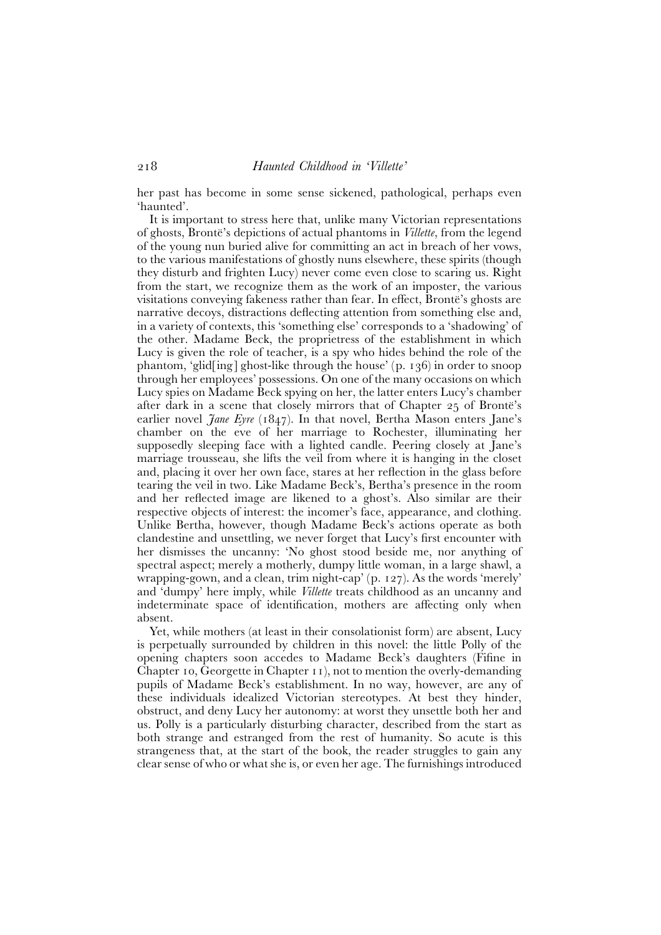her past has become in some sense sickened, pathological, perhaps even 'haunted'.

It is important to stress here that, unlike many Victorian representations of ghosts, Bronte's depictions of actual phantoms in *Villette*, from the legend of the young nun buried alive for committing an act in breach of her vows, to the various manifestations of ghostly nuns elsewhere, these spirits (though they disturb and frighten Lucy) never come even close to scaring us. Right from the start, we recognize them as the work of an imposter, the various visitations conveying fakeness rather than fear. In effect, Bronte's ghosts are narrative decoys, distractions deflecting attention from something else and, in a variety of contexts, this 'something else' corresponds to a 'shadowing' of the other. Madame Beck, the proprietress of the establishment in which Lucy is given the role of teacher, is a spy who hides behind the role of the phantom, 'glid[ing] ghost-like through the house' (p. 136) in order to snoop through her employees' possessions. On one of the many occasions on which Lucy spies on Madame Beck spying on her, the latter enters Lucy's chamber after dark in a scene that closely mirrors that of Chapter 25 of Bronte's earlier novel *Jane Eyre* (1847). In that novel, Bertha Mason enters Jane's chamber on the eve of her marriage to Rochester, illuminating her supposedly sleeping face with a lighted candle. Peering closely at Jane's marriage trousseau, she lifts the veil from where it is hanging in the closet and, placing it over her own face, stares at her reflection in the glass before tearing the veil in two. Like Madame Beck's, Bertha's presence in the room and her reflected image are likened to a ghost's. Also similar are their respective objects of interest: the incomer's face, appearance, and clothing. Unlike Bertha, however, though Madame Beck's actions operate as both clandestine and unsettling, we never forget that Lucy's first encounter with her dismisses the uncanny: 'No ghost stood beside me, nor anything of spectral aspect; merely a motherly, dumpy little woman, in a large shawl, a wrapping-gown, and a clean, trim night-cap' (p. 127). As the words 'merely' and 'dumpy' here imply, while Villette treats childhood as an uncanny and indeterminate space of identification, mothers are affecting only when absent.

Yet, while mothers (at least in their consolationist form) are absent, Lucy is perpetually surrounded by children in this novel: the little Polly of the opening chapters soon accedes to Madame Beck's daughters (Fifine in Chapter 10, Georgette in Chapter 11), not to mention the overly-demanding pupils of Madame Beck's establishment. In no way, however, are any of these individuals idealized Victorian stereotypes. At best they hinder, obstruct, and deny Lucy her autonomy: at worst they unsettle both her and us. Polly is a particularly disturbing character, described from the start as both strange and estranged from the rest of humanity. So acute is this strangeness that, at the start of the book, the reader struggles to gain any clear sense of who or what she is, or even her age. The furnishings introduced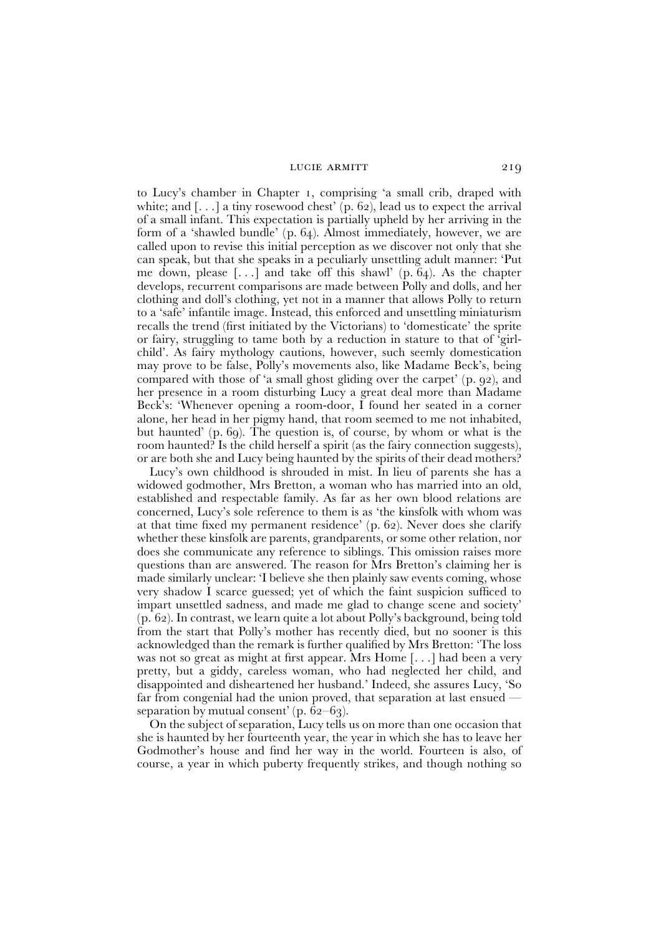LUCIE ARMITT 210

to Lucy's chamber in Chapter 1, comprising 'a small crib, draped with white; and  $\lceil \ldots \rceil$  a tiny rosewood chest' (p. 62), lead us to expect the arrival of a small infant. This expectation is partially upheld by her arriving in the form of a 'shawled bundle' (p. 64). Almost immediately, however, we are called upon to revise this initial perception as we discover not only that she can speak, but that she speaks in a peculiarly unsettling adult manner: 'Put me down, please [. . .] and take off this shawl' (p. 64). As the chapter develops, recurrent comparisons are made between Polly and dolls, and her clothing and doll's clothing, yet not in a manner that allows Polly to return to a 'safe' infantile image. Instead, this enforced and unsettling miniaturism recalls the trend (first initiated by the Victorians) to 'domesticate' the sprite or fairy, struggling to tame both by a reduction in stature to that of 'girlchild'. As fairy mythology cautions, however, such seemly domestication may prove to be false, Polly's movements also, like Madame Beck's, being compared with those of 'a small ghost gliding over the carpet' (p. 92), and her presence in a room disturbing Lucy a great deal more than Madame Beck's: 'Whenever opening a room-door, I found her seated in a corner alone, her head in her pigmy hand, that room seemed to me not inhabited, but haunted' (p. 69). The question is, of course, by whom or what is the room haunted? Is the child herself a spirit (as the fairy connection suggests), or are both she and Lucy being haunted by the spirits of their dead mothers?

Lucy's own childhood is shrouded in mist. In lieu of parents she has a widowed godmother, Mrs Bretton, a woman who has married into an old, established and respectable family. As far as her own blood relations are concerned, Lucy's sole reference to them is as 'the kinsfolk with whom was at that time fixed my permanent residence' (p. 62). Never does she clarify whether these kinsfolk are parents, grandparents, or some other relation, nor does she communicate any reference to siblings. This omission raises more questions than are answered. The reason for Mrs Bretton's claiming her is made similarly unclear: 'I believe she then plainly saw events coming, whose very shadow I scarce guessed; yet of which the faint suspicion sufficed to impart unsettled sadness, and made me glad to change scene and society' (p. 62). In contrast, we learn quite a lot about Polly's background, being told from the start that Polly's mother has recently died, but no sooner is this acknowledged than the remark is further qualified by Mrs Bretton: 'The loss was not so great as might at first appear. Mrs Home [. . .] had been a very pretty, but a giddy, careless woman, who had neglected her child, and disappointed and disheartened her husband.' Indeed, she assures Lucy, 'So far from congenial had the union proved, that separation at last ensued separation by mutual consent' (p.  $62-63$ ).

On the subject of separation, Lucy tells us on more than one occasion that she is haunted by her fourteenth year, the year in which she has to leave her Godmother's house and find her way in the world. Fourteen is also, of course, a year in which puberty frequently strikes, and though nothing so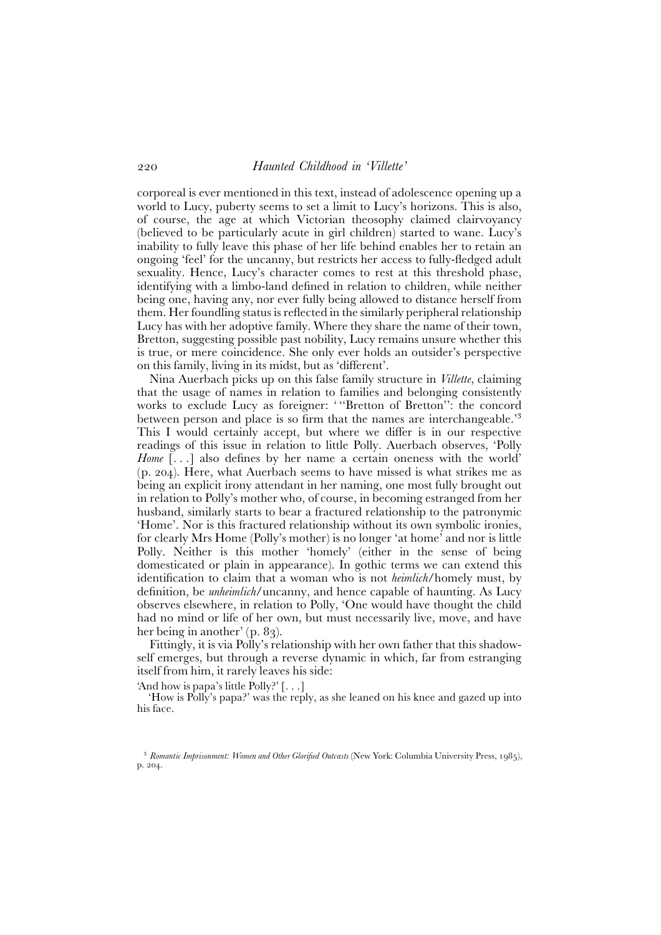corporeal is ever mentioned in this text, instead of adolescence opening up a world to Lucy, puberty seems to set a limit to Lucy's horizons. This is also, of course, the age at which Victorian theosophy claimed clairvoyancy (believed to be particularly acute in girl children) started to wane. Lucy's inability to fully leave this phase of her life behind enables her to retain an ongoing 'feel' for the uncanny, but restricts her access to fully-fledged adult sexuality. Hence, Lucy's character comes to rest at this threshold phase, identifying with a limbo-land defined in relation to children, while neither being one, having any, nor ever fully being allowed to distance herself from them. Her foundling status is reflected in the similarly peripheral relationship Lucy has with her adoptive family. Where they share the name of their town, Bretton, suggesting possible past nobility, Lucy remains unsure whether this is true, or mere coincidence. She only ever holds an outsider's perspective on this family, living in its midst, but as 'different'.

Nina Auerbach picks up on this false family structure in *Villette*, claiming that the usage of names in relation to families and belonging consistently works to exclude Lucy as foreigner: ' ''Bretton of Bretton'': the concord between person and place is so firm that the names are interchangeable.'3 This I would certainly accept, but where we differ is in our respective readings of this issue in relation to little Polly. Auerbach observes, 'Polly Home [...] also defines by her name a certain oneness with the world' (p. 204). Here, what Auerbach seems to have missed is what strikes me as being an explicit irony attendant in her naming, one most fully brought out in relation to Polly's mother who, of course, in becoming estranged from her husband, similarly starts to bear a fractured relationship to the patronymic 'Home'. Nor is this fractured relationship without its own symbolic ironies, for clearly Mrs Home (Polly's mother) is no longer 'at home' and nor is little Polly. Neither is this mother 'homely' (either in the sense of being domesticated or plain in appearance). In gothic terms we can extend this identification to claim that a woman who is not *heimlich*/homely must, by definition, be *unheimlich*/uncanny, and hence capable of haunting. As Lucy observes elsewhere, in relation to Polly, 'One would have thought the child had no mind or life of her own, but must necessarily live, move, and have her being in another' (p. 83).

Fittingly, it is via Polly's relationship with her own father that this shadowself emerges, but through a reverse dynamic in which, far from estranging itself from him, it rarely leaves his side:

'And how is papa's little Polly?' [. . .]

'How is Polly's papa?' was the reply, as she leaned on his knee and gazed up into his face.

<sup>&</sup>lt;sup>3</sup> Romantic Imprisonment: Women and Other Glorified Outcasts (New York: Columbia University Press, 1985), p. 204.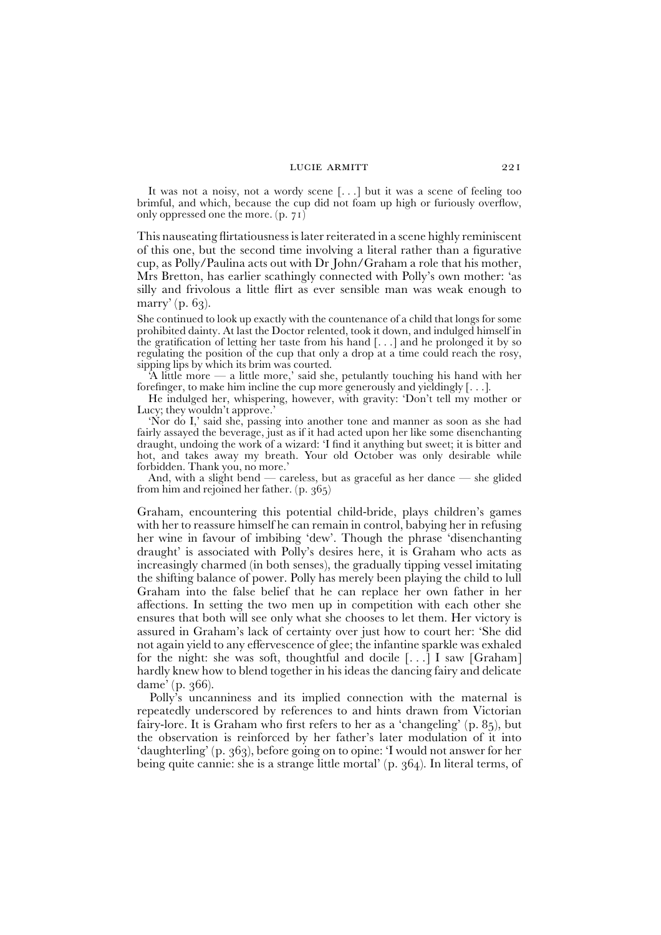#### LUCIE ARMITT 22 I

It was not a noisy, not a wordy scene [. . .] but it was a scene of feeling too brimful, and which, because the cup did not foam up high or furiously overflow, only oppressed one the more. (p. 71)

This nauseating flirtatiousness is later reiterated in a scene highly reminiscent of this one, but the second time involving a literal rather than a figurative cup, as Polly/Paulina acts out with Dr John/Graham a role that his mother, Mrs Bretton, has earlier scathingly connected with Polly's own mother: 'as silly and frivolous a little flirt as ever sensible man was weak enough to marry' (p. 63).

She continued to look up exactly with the countenance of a child that longs for some prohibited dainty. At last the Doctor relented, took it down, and indulged himself in the gratification of letting her taste from his hand [. . .] and he prolonged it by so regulating the position of the cup that only a drop at a time could reach the rosy, sipping lips by which its brim was courted.

'A little more — a little more,' said she, petulantly touching his hand with her forefinger, to make him incline the cup more generously and yieldingly [. . .].

He indulged her, whispering, however, with gravity: 'Don't tell my mother or Lucy; they wouldn't approve.'

'Nor do I,' said she, passing into another tone and manner as soon as she had fairly assayed the beverage, just as if it had acted upon her like some disenchanting draught, undoing the work of a wizard: 'I find it anything but sweet; it is bitter and hot, and takes away my breath. Your old October was only desirable while forbidden. Thank you, no more.'

And, with a slight bend — careless, but as graceful as her dance — she glided from him and rejoined her father. (p. 365)

Graham, encountering this potential child-bride, plays children's games with her to reassure himself he can remain in control, babying her in refusing her wine in favour of imbibing 'dew'. Though the phrase 'disenchanting draught' is associated with Polly's desires here, it is Graham who acts as increasingly charmed (in both senses), the gradually tipping vessel imitating the shifting balance of power. Polly has merely been playing the child to lull Graham into the false belief that he can replace her own father in her affections. In setting the two men up in competition with each other she ensures that both will see only what she chooses to let them. Her victory is assured in Graham's lack of certainty over just how to court her: 'She did not again yield to any effervescence of glee; the infantine sparkle was exhaled for the night: she was soft, thoughtful and docile [. . .] I saw [Graham] hardly knew how to blend together in his ideas the dancing fairy and delicate dame' (p. 366).

Polly's uncanniness and its implied connection with the maternal is repeatedly underscored by references to and hints drawn from Victorian fairy-lore. It is Graham who first refers to her as a 'changeling' (p. 85), but the observation is reinforced by her father's later modulation of it into 'daughterling' (p. 363), before going on to opine: 'I would not answer for her being quite cannie: she is a strange little mortal' (p. 364). In literal terms, of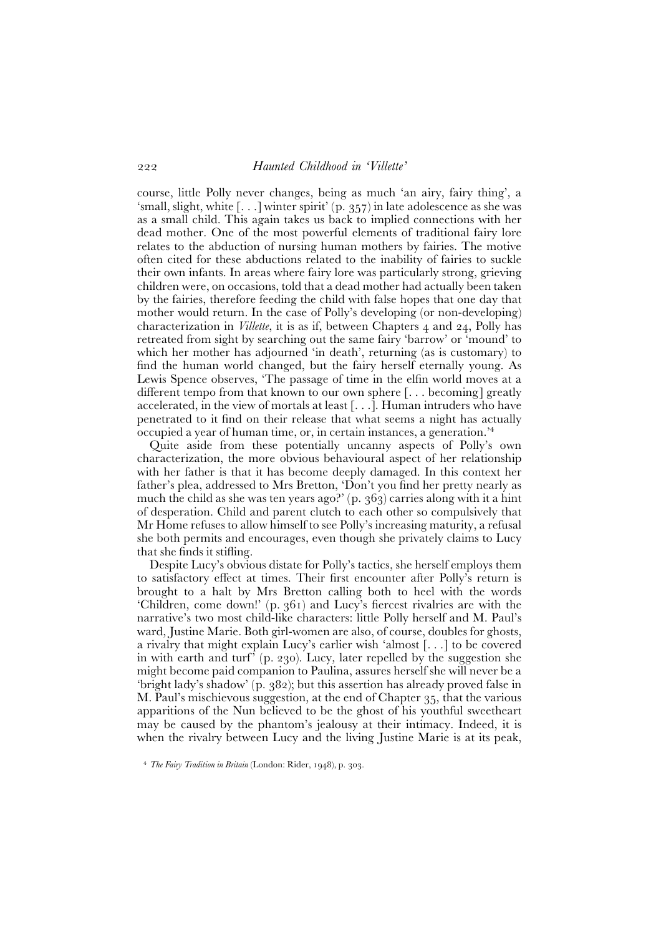course, little Polly never changes, being as much 'an airy, fairy thing', a 'small, slight, white  $\lceil \ldots \rceil$  winter spirit' (p. 357) in late adolescence as she was as a small child. This again takes us back to implied connections with her dead mother. One of the most powerful elements of traditional fairy lore relates to the abduction of nursing human mothers by fairies. The motive often cited for these abductions related to the inability of fairies to suckle their own infants. In areas where fairy lore was particularly strong, grieving children were, on occasions, told that a dead mother had actually been taken by the fairies, therefore feeding the child with false hopes that one day that mother would return. In the case of Polly's developing (or non-developing) characterization in *Villette*, it is as if, between Chapters  $\alpha$  and  $\alpha$ , Polly has retreated from sight by searching out the same fairy 'barrow' or 'mound' to which her mother has adjourned 'in death', returning (as is customary) to find the human world changed, but the fairy herself eternally young. As Lewis Spence observes, 'The passage of time in the elfin world moves at a different tempo from that known to our own sphere [. . . becoming] greatly accelerated, in the view of mortals at least [. . .]. Human intruders who have penetrated to it find on their release that what seems a night has actually occupied a year of human time, or, in certain instances, a generation.'<sup>4</sup> Quite aside from these potentially uncanny aspects of Polly's own

characterization, the more obvious behavioural aspect of her relationship with her father is that it has become deeply damaged. In this context her father's plea, addressed to Mrs Bretton, 'Don't you find her pretty nearly as much the child as she was ten years ago?' (p. 363) carries along with it a hint of desperation. Child and parent clutch to each other so compulsively that Mr Home refuses to allow himself to see Polly's increasing maturity, a refusal she both permits and encourages, even though she privately claims to Lucy that she finds it stifling.

Despite Lucy's obvious distate for Polly's tactics, she herself employs them to satisfactory effect at times. Their first encounter after Polly's return is brought to a halt by Mrs Bretton calling both to heel with the words 'Children, come down!' (p. 361) and Lucy's fiercest rivalries are with the narrative's two most child-like characters: little Polly herself and M. Paul's ward, Justine Marie. Both girl-women are also, of course, doubles for ghosts, a rivalry that might explain Lucy's earlier wish 'almost [. . .] to be covered in with earth and turf' (p. 230). Lucy, later repelled by the suggestion she might become paid companion to Paulina, assures herself she will never be a 'bright lady's shadow' (p. 382); but this assertion has already proved false in M. Paul's mischievous suggestion, at the end of Chapter 35, that the various apparitions of the Nun believed to be the ghost of his youthful sweetheart may be caused by the phantom's jealousy at their intimacy. Indeed, it is when the rivalry between Lucy and the living Justine Marie is at its peak,

<sup>4</sup> The Fairy Tradition in Britain (London: Rider, 1948), p. 303.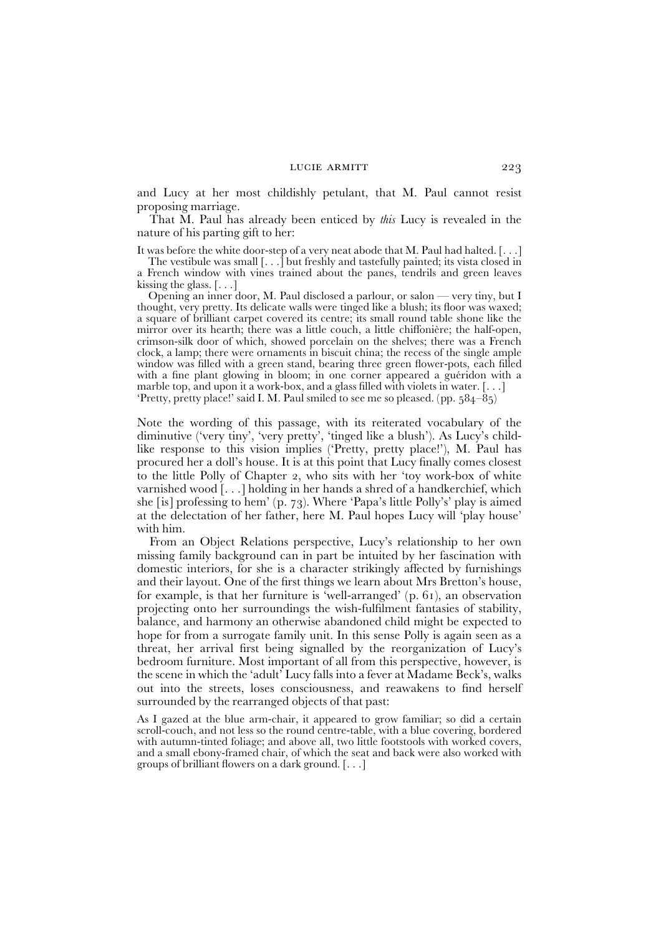and Lucy at her most childishly petulant, that M. Paul cannot resist proposing marriage.

That M. Paul has already been enticed by this Lucy is revealed in the nature of his parting gift to her:

It was before the white door-step of a very neat abode that M. Paul had halted. [. . .]

The vestibule was small [. . .] but freshly and tastefully painted; its vista closed in a French window with vines trained about the panes, tendrils and green leaves kissing the glass.  $[\ldots]$ 

Opening an inner door, M. Paul disclosed a parlour, or salon — very tiny, but I thought, very pretty. Its delicate walls were tinged like a blush; its floor was waxed; a square of brilliant carpet covered its centre; its small round table shone like the mirror over its hearth; there was a little couch, a little chiffoniere; the half-open, crimson-silk door of which, showed porcelain on the shelves; there was a French clock, a lamp; there were ornaments in biscuit china; the recess of the single ample window was filled with a green stand, bearing three green flower-pots, each filled with a fine plant glowing in bloom; in one corner appeared a guéridon with a marble top, and upon it a work-box, and a glass filled with violets in water. [...] 'Pretty, pretty place!' said I. M. Paul smiled to see me so pleased. (pp.  $584-\overline{8}5$ )

Note the wording of this passage, with its reiterated vocabulary of the diminutive ('very tiny', 'very pretty', 'tinged like a blush'). As Lucy's childlike response to this vision implies ('Pretty, pretty place!'), M. Paul has procured her a doll's house. It is at this point that Lucy finally comes closest to the little Polly of Chapter 2, who sits with her 'toy work-box of white varnished wood [. . .] holding in her hands a shred of a handkerchief, which she [is] professing to hem' (p. 73). Where 'Papa's little Polly's' play is aimed at the delectation of her father, here M. Paul hopes Lucy will 'play house' with him.

From an Object Relations perspective, Lucy's relationship to her own missing family background can in part be intuited by her fascination with domestic interiors, for she is a character strikingly affected by furnishings and their layout. One of the first things we learn about Mrs Bretton's house, for example, is that her furniture is 'well-arranged' (p. 61), an observation projecting onto her surroundings the wish-fulfilment fantasies of stability, balance, and harmony an otherwise abandoned child might be expected to hope for from a surrogate family unit. In this sense Polly is again seen as a threat, her arrival first being signalled by the reorganization of Lucy's bedroom furniture. Most important of all from this perspective, however, is the scene in which the 'adult' Lucy falls into a fever at Madame Beck's, walks out into the streets, loses consciousness, and reawakens to find herself surrounded by the rearranged objects of that past:

As I gazed at the blue arm-chair, it appeared to grow familiar; so did a certain scroll-couch, and not less so the round centre-table, with a blue covering, bordered with autumn-tinted foliage; and above all, two little footstools with worked covers, and a small ebony-framed chair, of which the seat and back were also worked with groups of brilliant flowers on a dark ground. [. . .]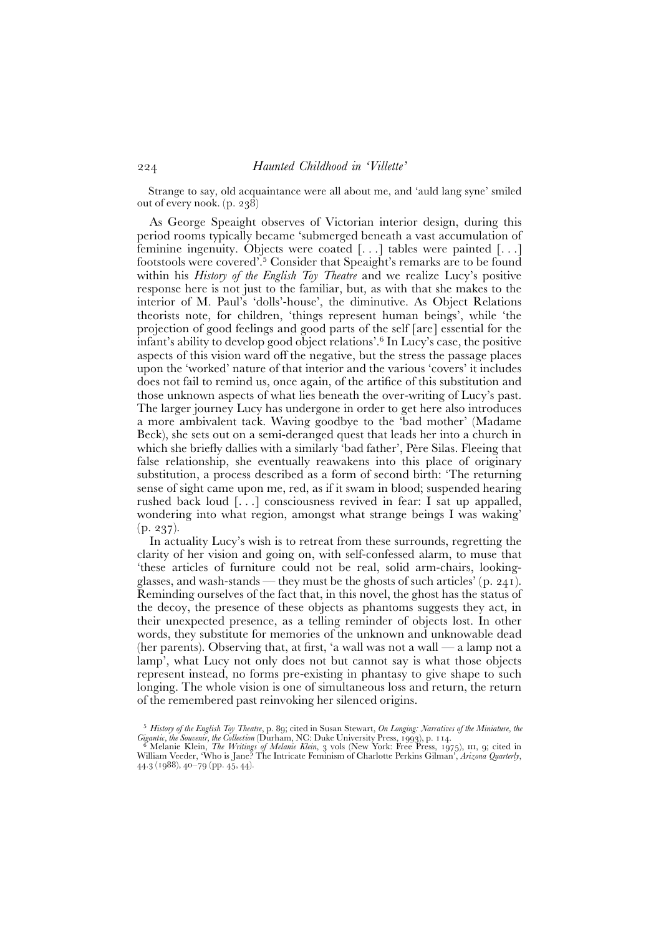Strange to say, old acquaintance were all about me, and 'auld lang syne' smiled out of every nook.  $(p. 238)$ 

As George Speaight observes of Victorian interior design, during this period rooms typically became 'submerged beneath a vast accumulation of feminine ingenuity. Objects were coated [. . .] tables were painted [. . .] footstools were covered'.5 Consider that Speaight's remarks are to be found within his *History of the English Toy Theatre* and we realize Lucy's positive response here is not just to the familiar, but, as with that she makes to the interior of M. Paul's 'dolls'-house', the diminutive. As Object Relations theorists note, for children, 'things represent human beings', while 'the projection of good feelings and good parts of the self [are] essential for the infant's ability to develop good object relations'.6 In Lucy's case, the positive aspects of this vision ward off the negative, but the stress the passage places upon the 'worked' nature of that interior and the various 'covers' it includes does not fail to remind us, once again, of the artifice of this substitution and those unknown aspects of what lies beneath the over-writing of Lucy's past. The larger journey Lucy has undergone in order to get here also introduces a more ambivalent tack. Waving goodbye to the 'bad mother' (Madame Beck), she sets out on a semi-deranged quest that leads her into a church in which she briefly dallies with a similarly 'bad father', Père Silas. Fleeing that false relationship, she eventually reawakens into this place of originary substitution, a process described as a form of second birth: 'The returning sense of sight came upon me, red, as if it swam in blood; suspended hearing rushed back loud [. . .] consciousness revived in fear: I sat up appalled, wondering into what region, amongst what strange beings I was waking' (p. 237).

In actuality Lucy's wish is to retreat from these surrounds, regretting the clarity of her vision and going on, with self-confessed alarm, to muse that 'these articles of furniture could not be real, solid arm-chairs, lookingglasses, and wash-stands — they must be the ghosts of such articles' (p. 241). Reminding ourselves of the fact that, in this novel, the ghost has the status of the decoy, the presence of these objects as phantoms suggests they act, in their unexpected presence, as a telling reminder of objects lost. In other words, they substitute for memories of the unknown and unknowable dead (her parents). Observing that, at first, 'a wall was not a wall — a lamp not a lamp', what Lucy not only does not but cannot say is what those objects represent instead, no forms pre-existing in phantasy to give shape to such longing. The whole vision is one of simultaneous loss and return, the return of the remembered past reinvoking her silenced origins.

<sup>&</sup>lt;sup>5</sup> History of the English Toy Theatre, p. 89; cited in Susan Stewart, On Longing: Narratives of the Miniature, the Gigantic, the Souvenir, the Collection (Durham, NC: Duke University Press, 1993), p. 114.

 $6^6$  Melanie Klein, *The Writings of Melanie Klein*, 3 vols (New York: Free Press, 1975), III, 9; cited in William Veeder, 'Who is Jane? The Intricate Feminism of Charlotte Perkins Gilman', *Arizona Quarterly*,<br>44.3 (1988), 40–79 (pp. 45, 44).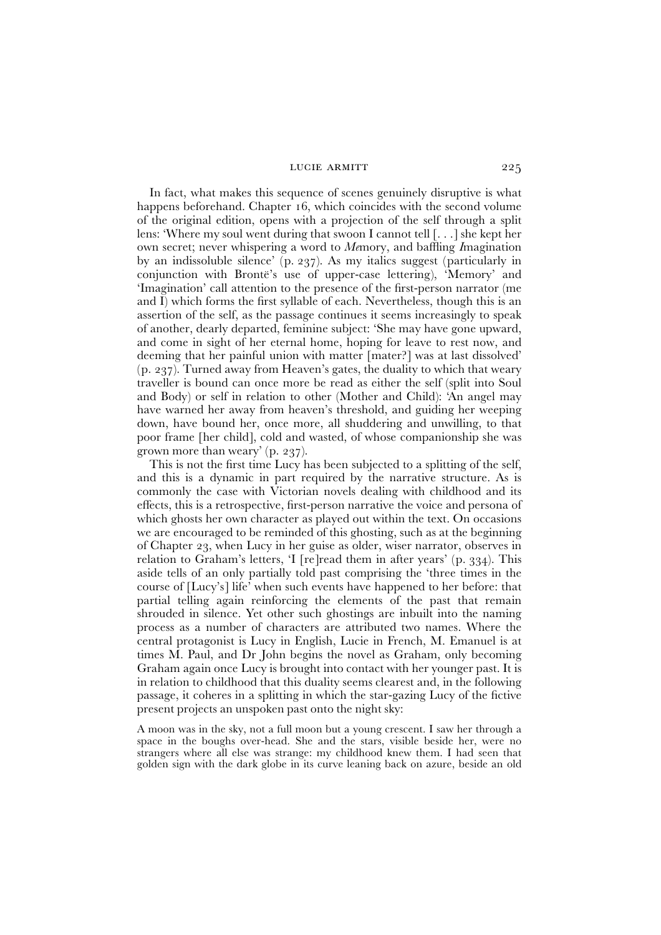#### LUCIE ARMITT 225

In fact, what makes this sequence of scenes genuinely disruptive is what happens beforehand. Chapter 16, which coincides with the second volume of the original edition, opens with a projection of the self through a split lens: 'Where my soul went during that swoon I cannot tell [. . .] she kept her own secret; never whispering a word to *Me*mory, and baffling *Imagination* by an indissoluble silence' (p. 237). As my italics suggest (particularly in conjunction with Bronte's use of upper-case lettering), 'Memory' and 'Imagination' call attention to the presence of the first-person narrator (me and I) which forms the first syllable of each. Nevertheless, though this is an assertion of the self, as the passage continues it seems increasingly to speak of another, dearly departed, feminine subject: 'She may have gone upward, and come in sight of her eternal home, hoping for leave to rest now, and deeming that her painful union with matter [mater?] was at last dissolved' (p. 237). Turned away from Heaven's gates, the duality to which that weary traveller is bound can once more be read as either the self (split into Soul and Body) or self in relation to other (Mother and Child): 'An angel may have warned her away from heaven's threshold, and guiding her weeping down, have bound her, once more, all shuddering and unwilling, to that poor frame [her child], cold and wasted, of whose companionship she was grown more than weary' (p. 237).

This is not the first time Lucy has been subjected to a splitting of the self, and this is a dynamic in part required by the narrative structure. As is commonly the case with Victorian novels dealing with childhood and its effects, this is a retrospective, first-person narrative the voice and persona of which ghosts her own character as played out within the text. On occasions we are encouraged to be reminded of this ghosting, such as at the beginning of Chapter 23, when Lucy in her guise as older, wiser narrator, observes in relation to Graham's letters, 'I [re]read them in after years' (p. 334). This aside tells of an only partially told past comprising the 'three times in the course of [Lucy's] life' when such events have happened to her before: that partial telling again reinforcing the elements of the past that remain shrouded in silence. Yet other such ghostings are inbuilt into the naming process as a number of characters are attributed two names. Where the central protagonist is Lucy in English, Lucie in French, M. Emanuel is at times M. Paul, and Dr John begins the novel as Graham, only becoming Graham again once Lucy is brought into contact with her younger past. It is in relation to childhood that this duality seems clearest and, in the following passage, it coheres in a splitting in which the star-gazing Lucy of the fictive present projects an unspoken past onto the night sky:

A moon was in the sky, not a full moon but a young crescent. I saw her through a space in the boughs over-head. She and the stars, visible beside her, were no strangers where all else was strange: my childhood knew them. I had seen that golden sign with the dark globe in its curve leaning back on azure, beside an old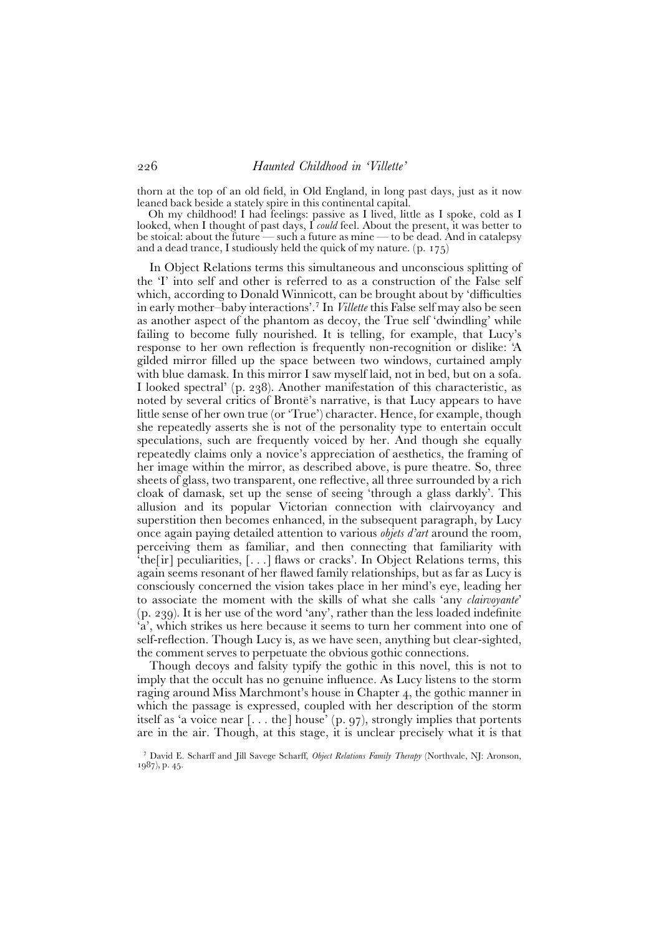thorn at the top of an old field, in Old England, in long past days, just as it now leaned back beside a stately spire in this continental capital.

Oh my childhood! I had feelings: passive as I lived, little as I spoke, cold as I looked, when I thought of past days, I *could* feel. About the present, it was better to be stoical: about the future — such a future as mine — to be dead. And in catalepsy and a dead trance, I studiously held the quick of my nature. (p. 175)

In Object Relations terms this simultaneous and unconscious splitting of the 'I' into self and other is referred to as a construction of the False self which, according to Donald Winnicott, can be brought about by 'difficulties in early mother–baby interactions'.<sup>7</sup> In *Villette* this False self may also be seen as another aspect of the phantom as decoy, the True self 'dwindling' while failing to become fully nourished. It is telling, for example, that Lucy's response to her own reflection is frequently non-recognition or dislike: 'A gilded mirror filled up the space between two windows, curtained amply with blue damask. In this mirror I saw myself laid, not in bed, but on a sofa. I looked spectral' (p. 238). Another manifestation of this characteristic, as noted by several critics of Brontë's narrative, is that Lucy appears to have little sense of her own true (or 'True') character. Hence, for example, though she repeatedly asserts she is not of the personality type to entertain occult speculations, such are frequently voiced by her. And though she equally repeatedly claims only a novice's appreciation of aesthetics, the framing of her image within the mirror, as described above, is pure theatre. So, three sheets of glass, two transparent, one reflective, all three surrounded by a rich cloak of damask, set up the sense of seeing 'through a glass darkly'. This allusion and its popular Victorian connection with clairvoyancy and superstition then becomes enhanced, in the subsequent paragraph, by Lucy once again paying detailed attention to various objets d'art around the room, perceiving them as familiar, and then connecting that familiarity with 'the[ir] peculiarities, [. . .] flaws or cracks'. In Object Relations terms, this again seems resonant of her flawed family relationships, but as far as Lucy is consciously concerned the vision takes place in her mind's eye, leading her to associate the moment with the skills of what she calls 'any clairvoyante' (p. 239). It is her use of the word 'any', rather than the less loaded indefinite 'a', which strikes us here because it seems to turn her comment into one of self-reflection. Though Lucy is, as we have seen, anything but clear-sighted, the comment serves to perpetuate the obvious gothic connections.

Though decoys and falsity typify the gothic in this novel, this is not to imply that the occult has no genuine influence. As Lucy listens to the storm raging around Miss Marchmont's house in Chapter 4, the gothic manner in which the passage is expressed, coupled with her description of the storm itself as 'a voice near [. . . the] house' (p. 97), strongly implies that portents are in the air. Though, at this stage, it is unclear precisely what it is that

<sup>7</sup> David E. Scharff and Jill Savege Scharff, Object Relations Family Therapy (Northvale, NJ: Aronson, 1987), p. 45.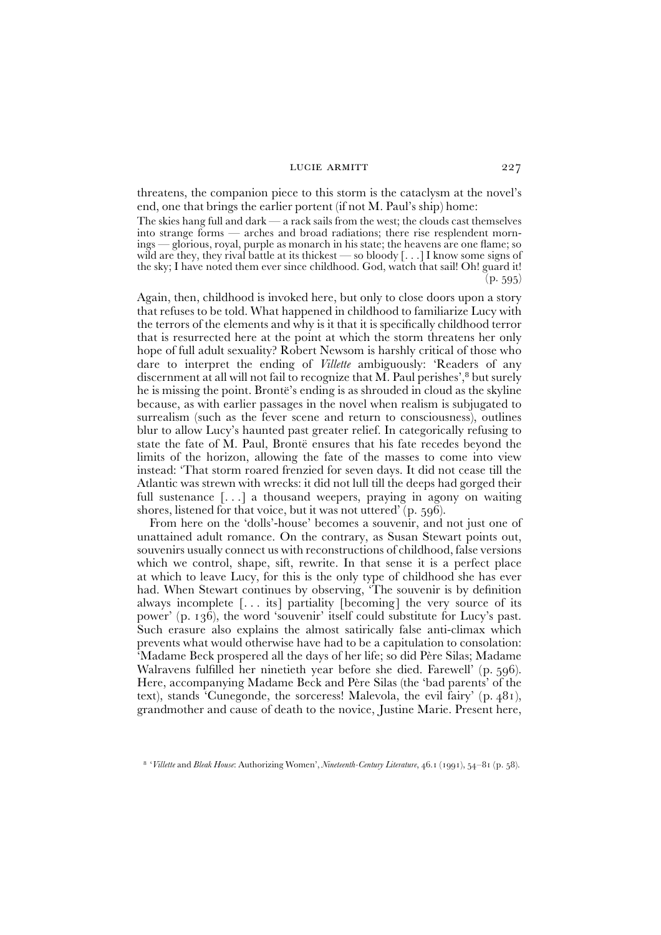#### LUCIE ARMITT 227

threatens, the companion piece to this storm is the cataclysm at the novel's end, one that brings the earlier portent (if not M. Paul's ship) home: The skies hang full and dark — a rack sails from the west; the clouds cast themselves into strange forms — arches and broad radiations; there rise resplendent mornings — glorious, royal, purple as monarch in his state; the heavens are one flame; so wild are they, they rival battle at its thickest — so bloody [...] I know some signs of the sky; I have noted them ever since childhood. God, watch that sail! Oh! guard it!  $(p.595)$ 

Again, then, childhood is invoked here, but only to close doors upon a story that refuses to be told. What happened in childhood to familiarize Lucy with the terrors of the elements and why is it that it is specifically childhood terror that is resurrected here at the point at which the storm threatens her only hope of full adult sexuality? Robert Newsom is harshly critical of those who dare to interpret the ending of Villette ambiguously: 'Readers of any discernment at all will not fail to recognize that M. Paul perishes',<sup>8</sup> but surely he is missing the point. Bronte<sup>'</sup>'s ending is as shrouded in cloud as the skyline because, as with earlier passages in the novel when realism is subjugated to surrealism (such as the fever scene and return to consciousness), outlines blur to allow Lucy's haunted past greater relief. In categorically refusing to state the fate of M. Paul, Bronte ensures that his fate recedes beyond the limits of the horizon, allowing the fate of the masses to come into view instead: 'That storm roared frenzied for seven days. It did not cease till the Atlantic was strewn with wrecks: it did not lull till the deeps had gorged their full sustenance [. . .] a thousand weepers, praying in agony on waiting shores, listened for that voice, but it was not uttered' (p. 596).

From here on the 'dolls'-house' becomes a souvenir, and not just one of unattained adult romance. On the contrary, as Susan Stewart points out, souvenirs usually connect us with reconstructions of childhood, false versions which we control, shape, sift, rewrite. In that sense it is a perfect place at which to leave Lucy, for this is the only type of childhood she has ever had. When Stewart continues by observing, 'The souvenir is by definition always incomplete [. . . its] partiality [becoming] the very source of its power' (p. 136), the word 'souvenir' itself could substitute for Lucy's past. Such erasure also explains the almost satirically false anti-climax which prevents what would otherwise have had to be a capitulation to consolation: 'Madame Beck prospered all the days of her life; so did Père Silas; Madame Walravens fulfilled her ninetieth year before she died. Farewell' (p. 596). Here, accompanying Madame Beck and Père Silas (the 'bad parents' of the text), stands 'Cunegonde, the sorceress! Malevola, the evil fairy' (p. 481), grandmother and cause of death to the novice, Justine Marie. Present here,

<sup>&</sup>lt;sup>8</sup> 'Villette and Bleak House: Authorizing Women', Nineteenth-Century Literature, 46.1 (1991), 54–81 (p. 58).